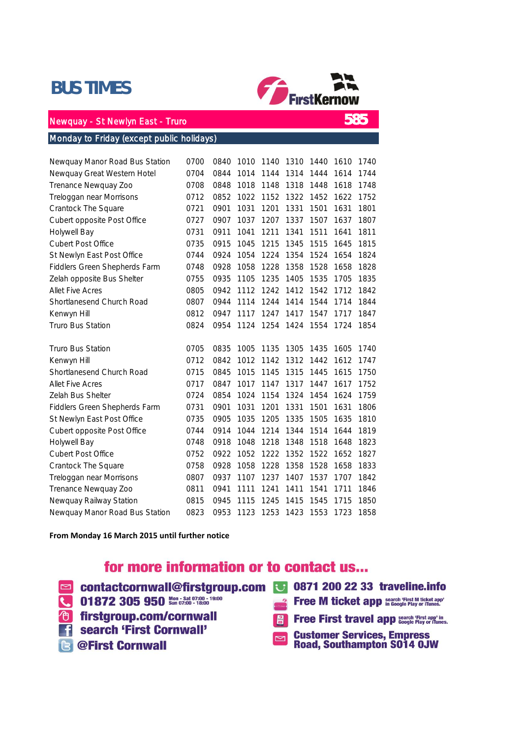## BUS TIMES



585

## Newquay - St Newlyn East - Truro

### Monday to Friday (except public holidays)

| Newquay Manor Road Bus Station | 0700 | 0840 | 1010 | 1140 | 1310 | 1440 | 1610 | 1740 |
|--------------------------------|------|------|------|------|------|------|------|------|
| Newquay Great Western Hotel    | 0704 | 0844 | 1014 | 1144 | 1314 | 1444 | 1614 | 1744 |
| Trenance Newquay Zoo           | 0708 | 0848 | 1018 | 1148 | 1318 | 1448 | 1618 | 1748 |
| Treloggan near Morrisons       | 0712 | 0852 | 1022 | 1152 | 1322 | 1452 | 1622 | 1752 |
| Crantock The Square            | 0721 | 0901 | 1031 | 1201 | 1331 | 1501 | 1631 | 1801 |
| Cubert opposite Post Office    | 0727 | 0907 | 1037 | 1207 | 1337 | 1507 | 1637 | 1807 |
| Holywell Bay                   | 0731 | 0911 | 1041 | 1211 | 1341 | 1511 | 1641 | 1811 |
| <b>Cubert Post Office</b>      | 0735 | 0915 | 1045 | 1215 | 1345 | 1515 | 1645 | 1815 |
| St Newlyn East Post Office     | 0744 | 0924 | 1054 | 1224 | 1354 | 1524 | 1654 | 1824 |
| Fiddlers Green Shepherds Farm  | 0748 | 0928 | 1058 | 1228 | 1358 | 1528 | 1658 | 1828 |
| Zelah opposite Bus Shelter     | 0755 | 0935 | 1105 | 1235 | 1405 | 1535 | 1705 | 1835 |
| <b>Allet Five Acres</b>        | 0805 | 0942 | 1112 | 1242 | 1412 | 1542 | 1712 | 1842 |
| Shortlanesend Church Road      | 0807 | 0944 | 1114 | 1244 | 1414 | 1544 | 1714 | 1844 |
| Kenwyn Hill                    | 0812 | 0947 | 1117 | 1247 | 1417 | 1547 | 1717 | 1847 |
| Truro Bus Station              | 0824 | 0954 | 1124 | 1254 | 1424 | 1554 | 1724 | 1854 |
| <b>Truro Bus Station</b>       | 0705 | 0835 | 1005 | 1135 | 1305 | 1435 | 1605 | 1740 |
| Kenwyn Hill                    | 0712 | 0842 | 1012 | 1142 | 1312 | 1442 | 1612 | 1747 |
| Shortlanesend Church Road      | 0715 | 0845 | 1015 | 1145 | 1315 | 1445 | 1615 | 1750 |
| <b>Allet Five Acres</b>        | 0717 | 0847 | 1017 | 1147 | 1317 | 1447 | 1617 | 1752 |
| Zelah Bus Shelter              | 0724 | 0854 | 1024 | 1154 | 1324 | 1454 | 1624 | 1759 |
| Fiddlers Green Shepherds Farm  | 0731 | 0901 | 1031 | 1201 | 1331 | 1501 | 1631 | 1806 |
| St Newlyn East Post Office     | 0735 | 0905 | 1035 | 1205 | 1335 | 1505 | 1635 | 1810 |
| Cubert opposite Post Office    | 0744 | 0914 | 1044 | 1214 | 1344 | 1514 | 1644 | 1819 |
| Holywell Bay                   | 0748 | 0918 | 1048 | 1218 | 1348 | 1518 | 1648 | 1823 |
| <b>Cubert Post Office</b>      | 0752 | 0922 | 1052 | 1222 | 1352 | 1522 | 1652 | 1827 |
| Crantock The Square            | 0758 | 0928 | 1058 | 1228 | 1358 | 1528 | 1658 | 1833 |
| Treloggan near Morrisons       | 0807 | 0937 | 1107 | 1237 | 1407 | 1537 | 1707 | 1842 |
| Trenance Newquay Zoo           | 0811 | 0941 | 1111 | 1241 | 1411 | 1541 | 1711 | 1846 |
| Newquay Railway Station        | 0815 | 0945 | 1115 | 1245 | 1415 | 1545 | 1715 | 1850 |
| Newquay Manor Road Bus Station | 0823 | 0953 | 1123 | 1253 | 1423 | 1553 | 1723 | 1858 |

**From Monday 16 March 2015 until further notice**

## for more information or to contact us...

- contactcornwall@firstgroup.com **8** 0871 200 22 33 traveline.info 01872 305 950 Sun 07:00 - 18:00 **Free M ticket app search 'First M ticket app' <sup>t</sup> firstgroup.com/cornwall Free First travel app Search 'First app' in 1** search 'First Cornwall'
- **B** @First Cornwall

**Customer Services, Empress<br>Road, Southampton S014 OJW**  $\Box$